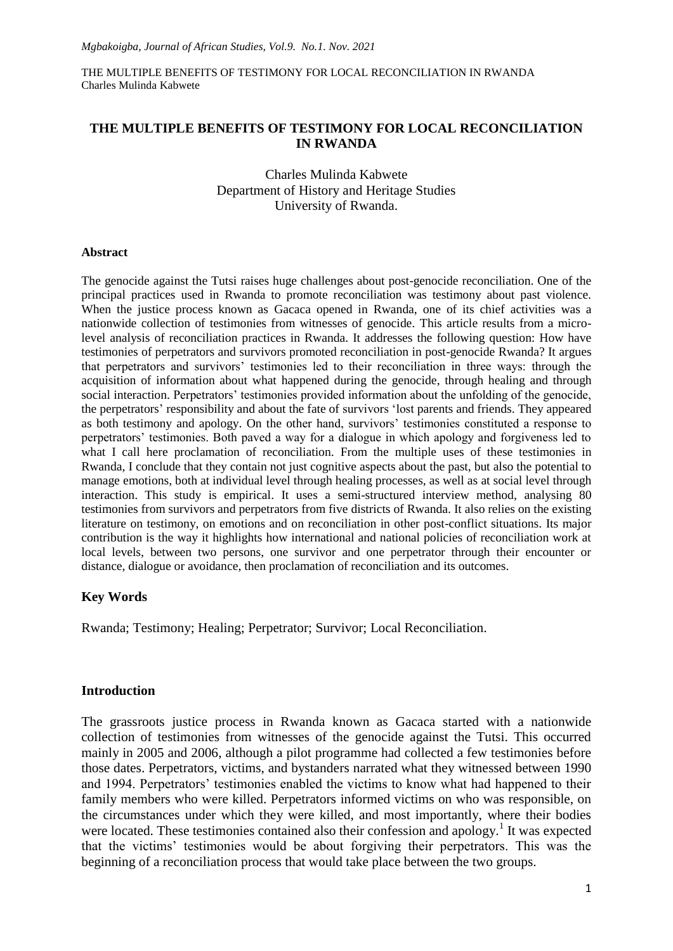## **THE MULTIPLE BENEFITS OF TESTIMONY FOR LOCAL RECONCILIATION IN RWANDA**

Charles Mulinda Kabwete Department of History and Heritage Studies University of Rwanda.

#### **Abstract**

The genocide against the Tutsi raises huge challenges about post-genocide reconciliation. One of the principal practices used in Rwanda to promote reconciliation was testimony about past violence. When the justice process known as Gacaca opened in Rwanda, one of its chief activities was a nationwide collection of testimonies from witnesses of genocide. This article results from a microlevel analysis of reconciliation practices in Rwanda. It addresses the following question: How have testimonies of perpetrators and survivors promoted reconciliation in post-genocide Rwanda? It argues that perpetrators and survivors" testimonies led to their reconciliation in three ways: through the acquisition of information about what happened during the genocide, through healing and through social interaction. Perpetrators' testimonies provided information about the unfolding of the genocide, the perpetrators" responsibility and about the fate of survivors "lost parents and friends. They appeared as both testimony and apology. On the other hand, survivors' testimonies constituted a response to perpetrators' testimonies. Both paved a way for a dialogue in which apology and forgiveness led to what I call here proclamation of reconciliation. From the multiple uses of these testimonies in Rwanda, I conclude that they contain not just cognitive aspects about the past, but also the potential to manage emotions, both at individual level through healing processes, as well as at social level through interaction. This study is empirical. It uses a semi-structured interview method, analysing 80 testimonies from survivors and perpetrators from five districts of Rwanda. It also relies on the existing literature on testimony, on emotions and on reconciliation in other post-conflict situations. Its major contribution is the way it highlights how international and national policies of reconciliation work at local levels, between two persons, one survivor and one perpetrator through their encounter or distance, dialogue or avoidance, then proclamation of reconciliation and its outcomes.

## **Key Words**

Rwanda; Testimony; Healing; Perpetrator; Survivor; Local Reconciliation.

### **Introduction**

The grassroots justice process in Rwanda known as Gacaca started with a nationwide collection of testimonies from witnesses of the genocide against the Tutsi. This occurred mainly in 2005 and 2006, although a pilot programme had collected a few testimonies before those dates. Perpetrators, victims, and bystanders narrated what they witnessed between 1990 and 1994. Perpetrators' testimonies enabled the victims to know what had happened to their family members who were killed. Perpetrators informed victims on who was responsible, on the circumstances under which they were killed, and most importantly, where their bodies were located. These testimonies contained also their confession and apology.<sup>1</sup> It was expected that the victims" testimonies would be about forgiving their perpetrators. This was the beginning of a reconciliation process that would take place between the two groups.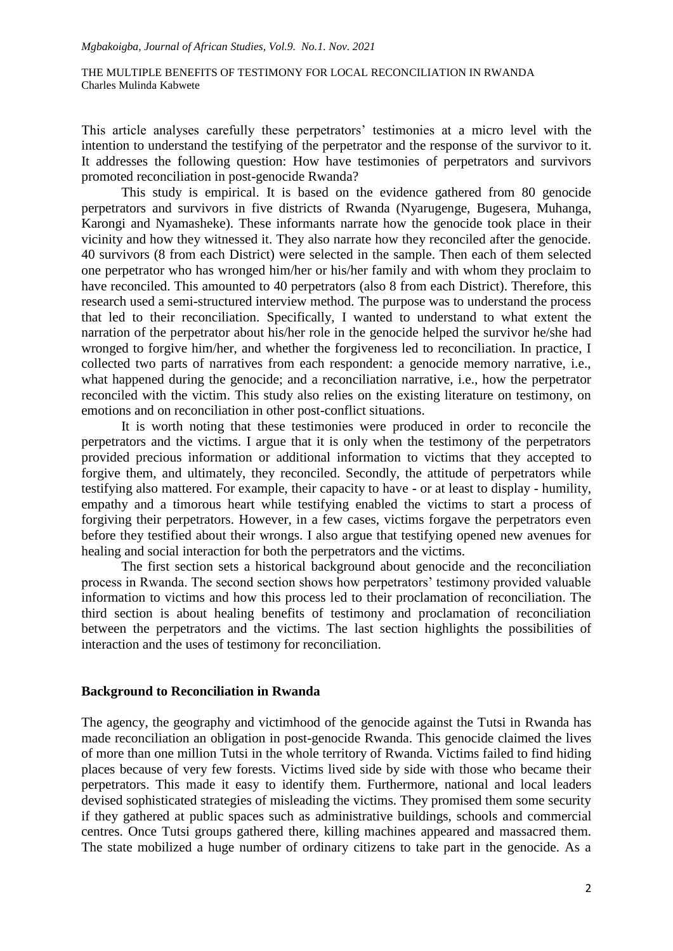This article analyses carefully these perpetrators' testimonies at a micro level with the intention to understand the testifying of the perpetrator and the response of the survivor to it. It addresses the following question: How have testimonies of perpetrators and survivors promoted reconciliation in post-genocide Rwanda?

This study is empirical. It is based on the evidence gathered from 80 genocide perpetrators and survivors in five districts of Rwanda (Nyarugenge, Bugesera, Muhanga, Karongi and Nyamasheke). These informants narrate how the genocide took place in their vicinity and how they witnessed it. They also narrate how they reconciled after the genocide. 40 survivors (8 from each District) were selected in the sample. Then each of them selected one perpetrator who has wronged him/her or his/her family and with whom they proclaim to have reconciled. This amounted to 40 perpetrators (also 8 from each District). Therefore, this research used a semi-structured interview method. The purpose was to understand the process that led to their reconciliation. Specifically, I wanted to understand to what extent the narration of the perpetrator about his/her role in the genocide helped the survivor he/she had wronged to forgive him/her, and whether the forgiveness led to reconciliation. In practice, I collected two parts of narratives from each respondent: a genocide memory narrative, i.e., what happened during the genocide; and a reconciliation narrative, i.e., how the perpetrator reconciled with the victim. This study also relies on the existing literature on testimony, on emotions and on reconciliation in other post-conflict situations.

It is worth noting that these testimonies were produced in order to reconcile the perpetrators and the victims. I argue that it is only when the testimony of the perpetrators provided precious information or additional information to victims that they accepted to forgive them, and ultimately, they reconciled. Secondly, the attitude of perpetrators while testifying also mattered. For example, their capacity to have - or at least to display - humility, empathy and a timorous heart while testifying enabled the victims to start a process of forgiving their perpetrators. However, in a few cases, victims forgave the perpetrators even before they testified about their wrongs. I also argue that testifying opened new avenues for healing and social interaction for both the perpetrators and the victims.

The first section sets a historical background about genocide and the reconciliation process in Rwanda. The second section shows how perpetrators" testimony provided valuable information to victims and how this process led to their proclamation of reconciliation. The third section is about healing benefits of testimony and proclamation of reconciliation between the perpetrators and the victims. The last section highlights the possibilities of interaction and the uses of testimony for reconciliation.

### **Background to Reconciliation in Rwanda**

The agency, the geography and victimhood of the genocide against the Tutsi in Rwanda has made reconciliation an obligation in post-genocide Rwanda. This genocide claimed the lives of more than one million Tutsi in the whole territory of Rwanda. Victims failed to find hiding places because of very few forests. Victims lived side by side with those who became their perpetrators. This made it easy to identify them. Furthermore, national and local leaders devised sophisticated strategies of misleading the victims. They promised them some security if they gathered at public spaces such as administrative buildings, schools and commercial centres. Once Tutsi groups gathered there, killing machines appeared and massacred them. The state mobilized a huge number of ordinary citizens to take part in the genocide. As a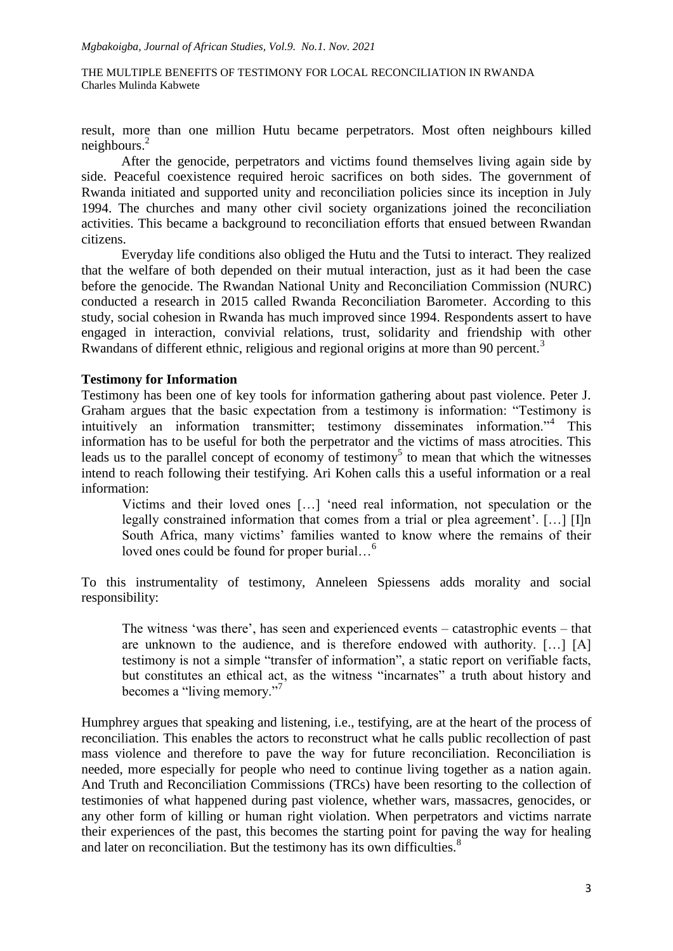result, more than one million Hutu became perpetrators. Most often neighbours killed neighbours.<sup>2</sup>

After the genocide, perpetrators and victims found themselves living again side by side. Peaceful coexistence required heroic sacrifices on both sides. The government of Rwanda initiated and supported unity and reconciliation policies since its inception in July 1994. The churches and many other civil society organizations joined the reconciliation activities. This became a background to reconciliation efforts that ensued between Rwandan citizens.

Everyday life conditions also obliged the Hutu and the Tutsi to interact. They realized that the welfare of both depended on their mutual interaction, just as it had been the case before the genocide. The Rwandan National Unity and Reconciliation Commission (NURC) conducted a research in 2015 called Rwanda Reconciliation Barometer. According to this study, social cohesion in Rwanda has much improved since 1994. Respondents assert to have engaged in interaction, convivial relations, trust, solidarity and friendship with other Rwandans of different ethnic, religious and regional origins at more than 90 percent.<sup>3</sup>

#### **Testimony for Information**

Testimony has been one of key tools for information gathering about past violence. Peter J. Graham argues that the basic expectation from a testimony is information: "Testimony is intuitively an information transmitter; testimony disseminates information."<sup>4</sup> This information has to be useful for both the perpetrator and the victims of mass atrocities. This leads us to the parallel concept of economy of testimony<sup>5</sup> to mean that which the witnesses intend to reach following their testifying. Ari Kohen calls this a useful information or a real information:

Victims and their loved ones […] "need real information, not speculation or the legally constrained information that comes from a trial or plea agreement'.  $[\dots]$  [I]n South Africa, many victims' families wanted to know where the remains of their loved ones could be found for proper burial...<sup>6</sup>

To this instrumentality of testimony, Anneleen Spiessens adds morality and social responsibility:

The witness 'was there', has seen and experienced events – catastrophic events – that are unknown to the audience, and is therefore endowed with authority. […] [A] testimony is not a simple "transfer of information", a static report on verifiable facts, but constitutes an ethical act, as the witness "incarnates" a truth about history and becomes a "living memory."<sup>7</sup>

Humphrey argues that speaking and listening, i.e., testifying, are at the heart of the process of reconciliation. This enables the actors to reconstruct what he calls public recollection of past mass violence and therefore to pave the way for future reconciliation. Reconciliation is needed, more especially for people who need to continue living together as a nation again. And Truth and Reconciliation Commissions (TRCs) have been resorting to the collection of testimonies of what happened during past violence, whether wars, massacres, genocides, or any other form of killing or human right violation. When perpetrators and victims narrate their experiences of the past, this becomes the starting point for paving the way for healing and later on reconciliation. But the testimony has its own difficulties.<sup>8</sup>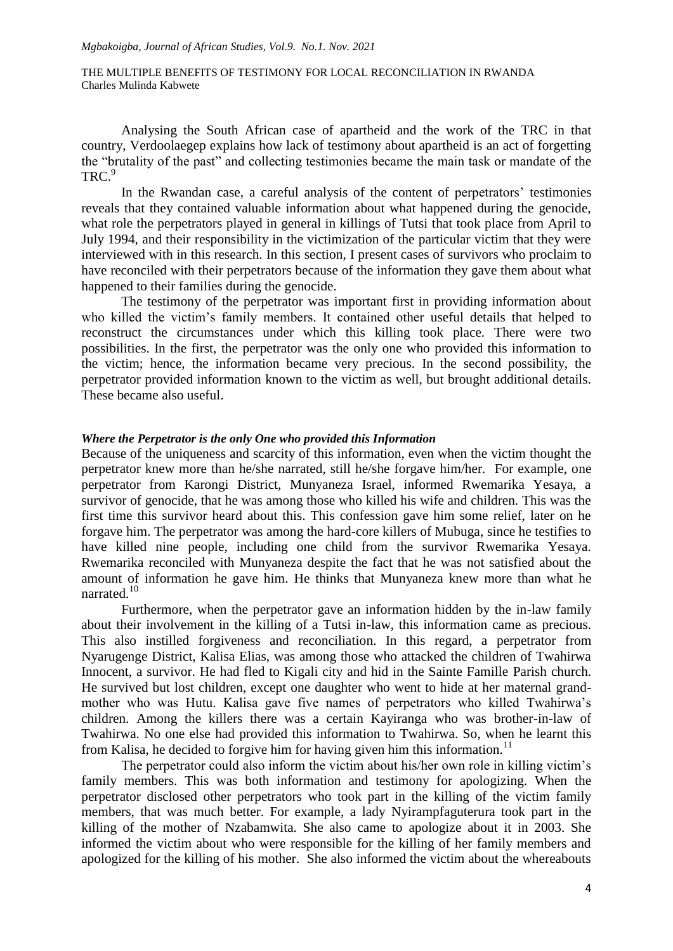Analysing the South African case of apartheid and the work of the TRC in that country, Verdoolaegep explains how lack of testimony about apartheid is an act of forgetting the "brutality of the past" and collecting testimonies became the main task or mandate of the TRC.<sup>9</sup>

In the Rwandan case, a careful analysis of the content of perpetrators" testimonies reveals that they contained valuable information about what happened during the genocide, what role the perpetrators played in general in killings of Tutsi that took place from April to July 1994, and their responsibility in the victimization of the particular victim that they were interviewed with in this research. In this section, I present cases of survivors who proclaim to have reconciled with their perpetrators because of the information they gave them about what happened to their families during the genocide.

The testimony of the perpetrator was important first in providing information about who killed the victim's family members. It contained other useful details that helped to reconstruct the circumstances under which this killing took place. There were two possibilities. In the first, the perpetrator was the only one who provided this information to the victim; hence, the information became very precious. In the second possibility, the perpetrator provided information known to the victim as well, but brought additional details. These became also useful.

## *Where the Perpetrator is the only One who provided this Information*

Because of the uniqueness and scarcity of this information, even when the victim thought the perpetrator knew more than he/she narrated, still he/she forgave him/her. For example, one perpetrator from Karongi District, Munyaneza Israel, informed Rwemarika Yesaya, a survivor of genocide, that he was among those who killed his wife and children. This was the first time this survivor heard about this. This confession gave him some relief, later on he forgave him. The perpetrator was among the hard-core killers of Mubuga, since he testifies to have killed nine people, including one child from the survivor Rwemarika Yesaya. Rwemarika reconciled with Munyaneza despite the fact that he was not satisfied about the amount of information he gave him. He thinks that Munyaneza knew more than what he narrated.<sup>10</sup>

Furthermore, when the perpetrator gave an information hidden by the in-law family about their involvement in the killing of a Tutsi in-law, this information came as precious. This also instilled forgiveness and reconciliation. In this regard, a perpetrator from Nyarugenge District, Kalisa Elias, was among those who attacked the children of Twahirwa Innocent, a survivor. He had fled to Kigali city and hid in the Sainte Famille Parish church. He survived but lost children, except one daughter who went to hide at her maternal grandmother who was Hutu. Kalisa gave five names of perpetrators who killed Twahirwa"s children. Among the killers there was a certain Kayiranga who was brother-in-law of Twahirwa. No one else had provided this information to Twahirwa. So, when he learnt this from Kalisa, he decided to forgive him for having given him this information.<sup>11</sup>

The perpetrator could also inform the victim about his/her own role in killing victim's family members. This was both information and testimony for apologizing. When the perpetrator disclosed other perpetrators who took part in the killing of the victim family members, that was much better. For example, a lady Nyirampfaguterura took part in the killing of the mother of Nzabamwita. She also came to apologize about it in 2003. She informed the victim about who were responsible for the killing of her family members and apologized for the killing of his mother. She also informed the victim about the whereabouts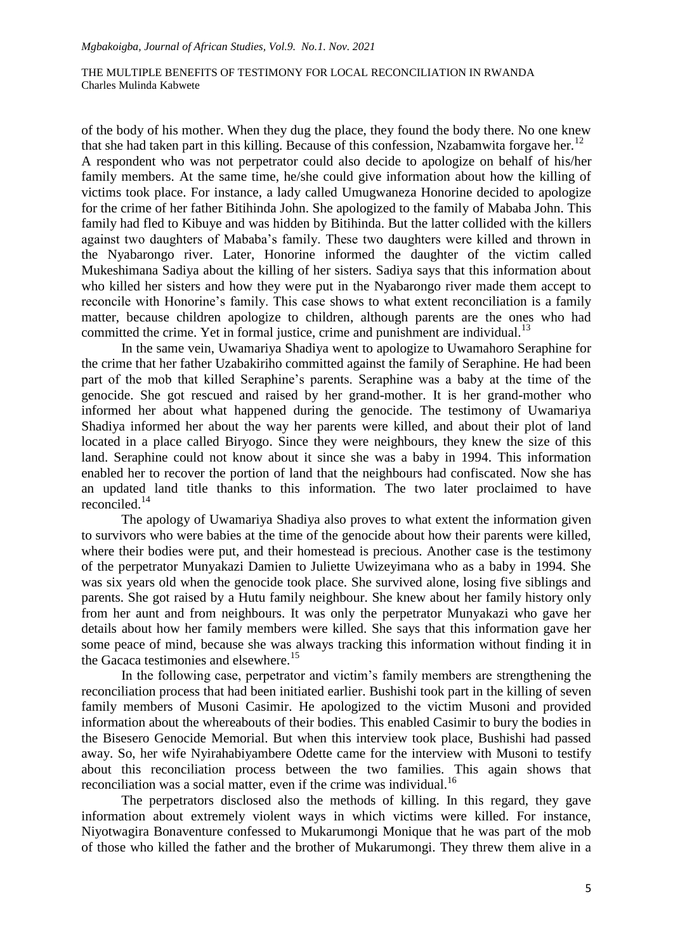of the body of his mother. When they dug the place, they found the body there. No one knew that she had taken part in this killing. Because of this confession, Nzabamwita for gave her.<sup>12</sup> A respondent who was not perpetrator could also decide to apologize on behalf of his/her family members. At the same time, he/she could give information about how the killing of victims took place. For instance, a lady called Umugwaneza Honorine decided to apologize for the crime of her father Bitihinda John. She apologized to the family of Mababa John. This family had fled to Kibuye and was hidden by Bitihinda. But the latter collided with the killers against two daughters of Mababa"s family. These two daughters were killed and thrown in the Nyabarongo river. Later, Honorine informed the daughter of the victim called Mukeshimana Sadiya about the killing of her sisters. Sadiya says that this information about who killed her sisters and how they were put in the Nyabarongo river made them accept to reconcile with Honorine's family. This case shows to what extent reconciliation is a family matter, because children apologize to children, although parents are the ones who had committed the crime. Yet in formal justice, crime and punishment are individual.<sup>13</sup>

In the same vein, Uwamariya Shadiya went to apologize to Uwamahoro Seraphine for the crime that her father Uzabakiriho committed against the family of Seraphine. He had been part of the mob that killed Seraphine"s parents. Seraphine was a baby at the time of the genocide. She got rescued and raised by her grand-mother. It is her grand-mother who informed her about what happened during the genocide. The testimony of Uwamariya Shadiya informed her about the way her parents were killed, and about their plot of land located in a place called Biryogo. Since they were neighbours, they knew the size of this land. Seraphine could not know about it since she was a baby in 1994. This information enabled her to recover the portion of land that the neighbours had confiscated. Now she has an updated land title thanks to this information. The two later proclaimed to have reconciled.<sup>14</sup>

The apology of Uwamariya Shadiya also proves to what extent the information given to survivors who were babies at the time of the genocide about how their parents were killed, where their bodies were put, and their homestead is precious. Another case is the testimony of the perpetrator Munyakazi Damien to Juliette Uwizeyimana who as a baby in 1994. She was six years old when the genocide took place. She survived alone, losing five siblings and parents. She got raised by a Hutu family neighbour. She knew about her family history only from her aunt and from neighbours. It was only the perpetrator Munyakazi who gave her details about how her family members were killed. She says that this information gave her some peace of mind, because she was always tracking this information without finding it in the Gacaca testimonies and elsewhere.<sup>15</sup>

In the following case, perpetrator and victim's family members are strengthening the reconciliation process that had been initiated earlier. Bushishi took part in the killing of seven family members of Musoni Casimir. He apologized to the victim Musoni and provided information about the whereabouts of their bodies. This enabled Casimir to bury the bodies in the Bisesero Genocide Memorial. But when this interview took place, Bushishi had passed away. So, her wife Nyirahabiyambere Odette came for the interview with Musoni to testify about this reconciliation process between the two families. This again shows that reconciliation was a social matter, even if the crime was individual.<sup>16</sup>

The perpetrators disclosed also the methods of killing. In this regard, they gave information about extremely violent ways in which victims were killed. For instance, Niyotwagira Bonaventure confessed to Mukarumongi Monique that he was part of the mob of those who killed the father and the brother of Mukarumongi. They threw them alive in a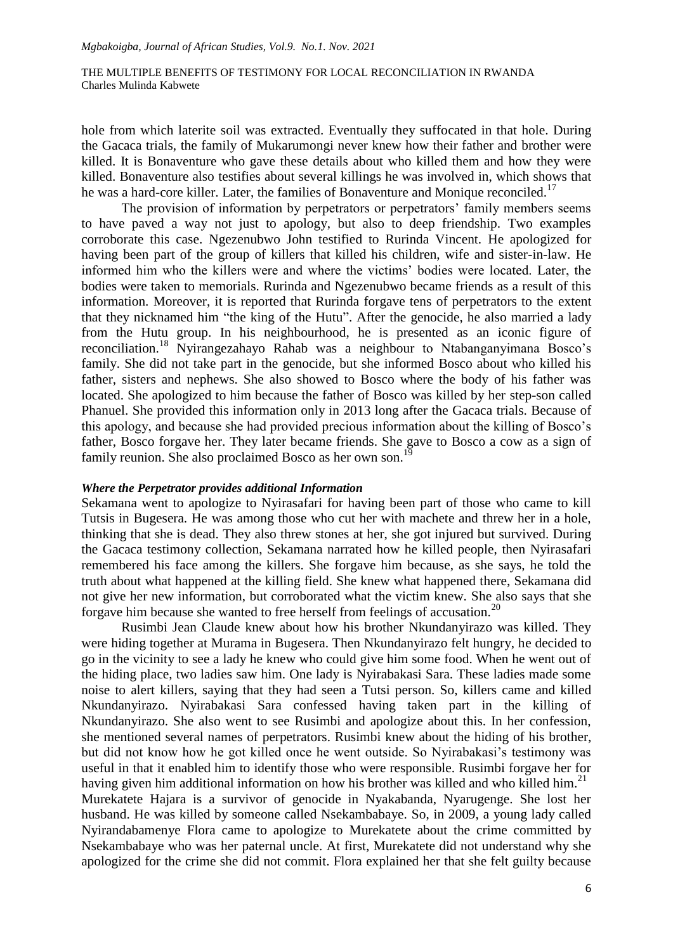hole from which laterite soil was extracted. Eventually they suffocated in that hole. During the Gacaca trials, the family of Mukarumongi never knew how their father and brother were killed. It is Bonaventure who gave these details about who killed them and how they were killed. Bonaventure also testifies about several killings he was involved in, which shows that he was a hard-core killer. Later, the families of Bonaventure and Monique reconciled.<sup>17</sup>

The provision of information by perpetrators or perpetrators' family members seems to have paved a way not just to apology, but also to deep friendship. Two examples corroborate this case. Ngezenubwo John testified to Rurinda Vincent. He apologized for having been part of the group of killers that killed his children, wife and sister-in-law. He informed him who the killers were and where the victims" bodies were located. Later, the bodies were taken to memorials. Rurinda and Ngezenubwo became friends as a result of this information. Moreover, it is reported that Rurinda forgave tens of perpetrators to the extent that they nicknamed him "the king of the Hutu". After the genocide, he also married a lady from the Hutu group. In his neighbourhood, he is presented as an iconic figure of reconciliation.<sup>18</sup> Nyirangezahayo Rahab was a neighbour to Ntabanganyimana Bosco"s family. She did not take part in the genocide, but she informed Bosco about who killed his father, sisters and nephews. She also showed to Bosco where the body of his father was located. She apologized to him because the father of Bosco was killed by her step-son called Phanuel. She provided this information only in 2013 long after the Gacaca trials. Because of this apology, and because she had provided precious information about the killing of Bosco"s father, Bosco forgave her. They later became friends. She gave to Bosco a cow as a sign of family reunion. She also proclaimed Bosco as her own son.<sup>1</sup>

#### *Where the Perpetrator provides additional Information*

Sekamana went to apologize to Nyirasafari for having been part of those who came to kill Tutsis in Bugesera. He was among those who cut her with machete and threw her in a hole, thinking that she is dead. They also threw stones at her, she got injured but survived. During the Gacaca testimony collection, Sekamana narrated how he killed people, then Nyirasafari remembered his face among the killers. She forgave him because, as she says, he told the truth about what happened at the killing field. She knew what happened there, Sekamana did not give her new information, but corroborated what the victim knew. She also says that she forgave him because she wanted to free herself from feelings of accusation.<sup>20</sup>

Rusimbi Jean Claude knew about how his brother Nkundanyirazo was killed. They were hiding together at Murama in Bugesera. Then Nkundanyirazo felt hungry, he decided to go in the vicinity to see a lady he knew who could give him some food. When he went out of the hiding place, two ladies saw him. One lady is Nyirabakasi Sara. These ladies made some noise to alert killers, saying that they had seen a Tutsi person. So, killers came and killed Nkundanyirazo. Nyirabakasi Sara confessed having taken part in the killing of Nkundanyirazo. She also went to see Rusimbi and apologize about this. In her confession, she mentioned several names of perpetrators. Rusimbi knew about the hiding of his brother, but did not know how he got killed once he went outside. So Nyirabakasi"s testimony was useful in that it enabled him to identify those who were responsible. Rusimbi forgave her for having given him additional information on how his brother was killed and who killed him.<sup>21</sup> Murekatete Hajara is a survivor of genocide in Nyakabanda, Nyarugenge. She lost her husband. He was killed by someone called Nsekambabaye. So, in 2009, a young lady called Nyirandabamenye Flora came to apologize to Murekatete about the crime committed by Nsekambabaye who was her paternal uncle. At first, Murekatete did not understand why she apologized for the crime she did not commit. Flora explained her that she felt guilty because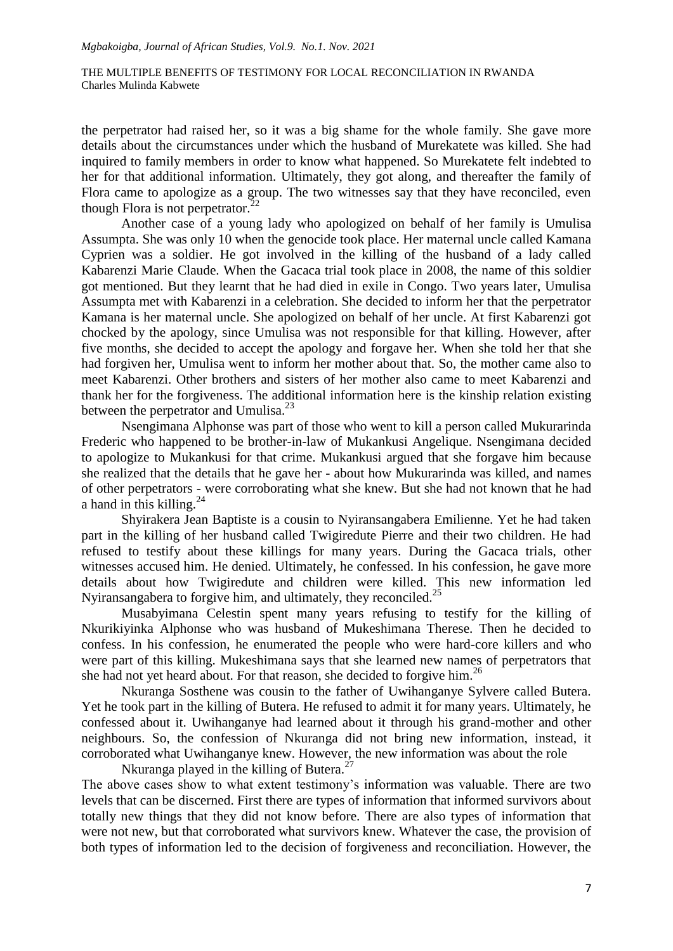the perpetrator had raised her, so it was a big shame for the whole family. She gave more details about the circumstances under which the husband of Murekatete was killed. She had inquired to family members in order to know what happened. So Murekatete felt indebted to her for that additional information. Ultimately, they got along, and thereafter the family of Flora came to apologize as a group. The two witnesses say that they have reconciled, even though Flora is not perpetrator. $^{22}$ 

Another case of a young lady who apologized on behalf of her family is Umulisa Assumpta. She was only 10 when the genocide took place. Her maternal uncle called Kamana Cyprien was a soldier. He got involved in the killing of the husband of a lady called Kabarenzi Marie Claude. When the Gacaca trial took place in 2008, the name of this soldier got mentioned. But they learnt that he had died in exile in Congo. Two years later, Umulisa Assumpta met with Kabarenzi in a celebration. She decided to inform her that the perpetrator Kamana is her maternal uncle. She apologized on behalf of her uncle. At first Kabarenzi got chocked by the apology, since Umulisa was not responsible for that killing. However, after five months, she decided to accept the apology and forgave her. When she told her that she had forgiven her, Umulisa went to inform her mother about that. So, the mother came also to meet Kabarenzi. Other brothers and sisters of her mother also came to meet Kabarenzi and thank her for the forgiveness. The additional information here is the kinship relation existing between the perpetrator and Umulisa.<sup>23</sup>

Nsengimana Alphonse was part of those who went to kill a person called Mukurarinda Frederic who happened to be brother-in-law of Mukankusi Angelique. Nsengimana decided to apologize to Mukankusi for that crime. Mukankusi argued that she forgave him because she realized that the details that he gave her - about how Mukurarinda was killed, and names of other perpetrators - were corroborating what she knew. But she had not known that he had a hand in this killing.<sup>24</sup>

Shyirakera Jean Baptiste is a cousin to Nyiransangabera Emilienne. Yet he had taken part in the killing of her husband called Twigiredute Pierre and their two children. He had refused to testify about these killings for many years. During the Gacaca trials, other witnesses accused him. He denied. Ultimately, he confessed. In his confession, he gave more details about how Twigiredute and children were killed. This new information led Nyiransangabera to forgive him, and ultimately, they reconciled.<sup>25</sup>

Musabyimana Celestin spent many years refusing to testify for the killing of Nkurikiyinka Alphonse who was husband of Mukeshimana Therese. Then he decided to confess. In his confession, he enumerated the people who were hard-core killers and who were part of this killing. Mukeshimana says that she learned new names of perpetrators that she had not yet heard about. For that reason, she decided to forgive him.<sup>26</sup>

Nkuranga Sosthene was cousin to the father of Uwihanganye Sylvere called Butera. Yet he took part in the killing of Butera. He refused to admit it for many years. Ultimately, he confessed about it. Uwihanganye had learned about it through his grand-mother and other neighbours. So, the confession of Nkuranga did not bring new information, instead, it corroborated what Uwihanganye knew. However, the new information was about the role

Nkuranga played in the killing of Butera.<sup>27</sup>

The above cases show to what extent testimony"s information was valuable. There are two levels that can be discerned. First there are types of information that informed survivors about totally new things that they did not know before. There are also types of information that were not new, but that corroborated what survivors knew. Whatever the case, the provision of both types of information led to the decision of forgiveness and reconciliation. However, the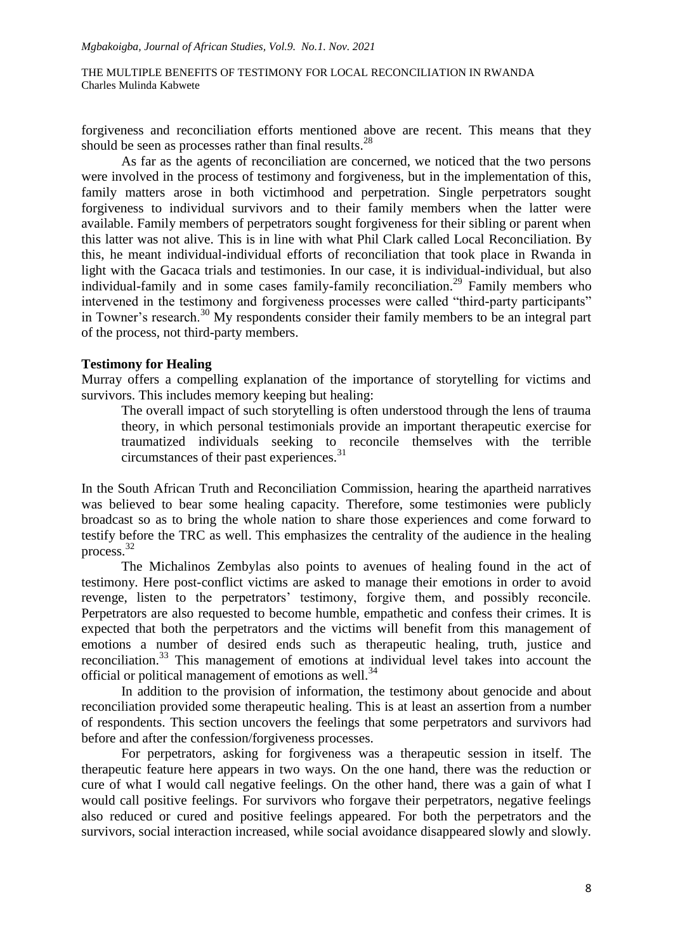forgiveness and reconciliation efforts mentioned above are recent. This means that they should be seen as processes rather than final results.<sup>28</sup>

As far as the agents of reconciliation are concerned, we noticed that the two persons were involved in the process of testimony and forgiveness, but in the implementation of this, family matters arose in both victimhood and perpetration. Single perpetrators sought forgiveness to individual survivors and to their family members when the latter were available. Family members of perpetrators sought forgiveness for their sibling or parent when this latter was not alive. This is in line with what Phil Clark called Local Reconciliation. By this, he meant individual-individual efforts of reconciliation that took place in Rwanda in light with the Gacaca trials and testimonies. In our case, it is individual-individual, but also individual-family and in some cases family-family reconciliation.<sup>29</sup> Family members who intervened in the testimony and forgiveness processes were called "third-party participants" in Towner"s research.<sup>30</sup> My respondents consider their family members to be an integral part of the process, not third-party members.

#### **Testimony for Healing**

Murray offers a compelling explanation of the importance of storytelling for victims and survivors. This includes memory keeping but healing:

The overall impact of such storytelling is often understood through the lens of trauma theory, in which personal testimonials provide an important therapeutic exercise for traumatized individuals seeking to reconcile themselves with the terrible circumstances of their past experiences.<sup>31</sup>

In the South African Truth and Reconciliation Commission, hearing the apartheid narratives was believed to bear some healing capacity. Therefore, some testimonies were publicly broadcast so as to bring the whole nation to share those experiences and come forward to testify before the TRC as well. This emphasizes the centrality of the audience in the healing process.<sup>32</sup>

The Michalinos Zembylas also points to avenues of healing found in the act of testimony. Here post-conflict victims are asked to manage their emotions in order to avoid revenge, listen to the perpetrators' testimony, forgive them, and possibly reconcile. Perpetrators are also requested to become humble, empathetic and confess their crimes. It is expected that both the perpetrators and the victims will benefit from this management of emotions a number of desired ends such as therapeutic healing, truth, justice and reconciliation.<sup>33</sup> This management of emotions at individual level takes into account the official or political management of emotions as well.<sup>34</sup>

In addition to the provision of information, the testimony about genocide and about reconciliation provided some therapeutic healing. This is at least an assertion from a number of respondents. This section uncovers the feelings that some perpetrators and survivors had before and after the confession/forgiveness processes.

For perpetrators, asking for forgiveness was a therapeutic session in itself. The therapeutic feature here appears in two ways. On the one hand, there was the reduction or cure of what I would call negative feelings. On the other hand, there was a gain of what I would call positive feelings. For survivors who forgave their perpetrators, negative feelings also reduced or cured and positive feelings appeared. For both the perpetrators and the survivors, social interaction increased, while social avoidance disappeared slowly and slowly.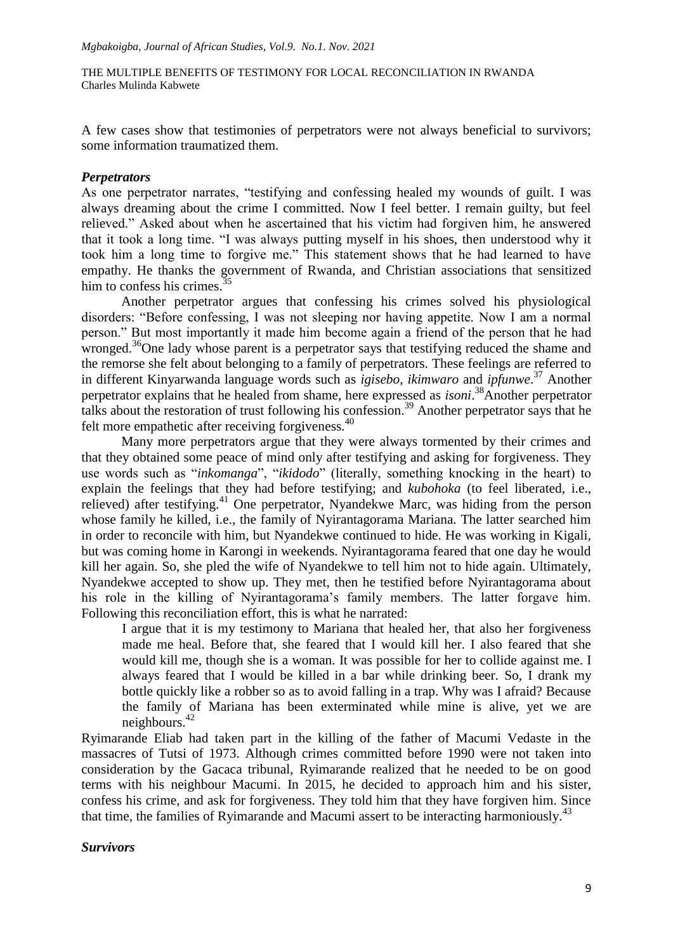A few cases show that testimonies of perpetrators were not always beneficial to survivors; some information traumatized them.

#### *Perpetrators*

As one perpetrator narrates, "testifying and confessing healed my wounds of guilt. I was always dreaming about the crime I committed. Now I feel better. I remain guilty, but feel relieved." Asked about when he ascertained that his victim had forgiven him, he answered that it took a long time. "I was always putting myself in his shoes, then understood why it took him a long time to forgive me." This statement shows that he had learned to have empathy. He thanks the government of Rwanda, and Christian associations that sensitized him to confess his crimes. $35$ 

Another perpetrator argues that confessing his crimes solved his physiological disorders: "Before confessing, I was not sleeping nor having appetite. Now I am a normal person." But most importantly it made him become again a friend of the person that he had wronged.<sup>36</sup>One lady whose parent is a perpetrator says that testifying reduced the shame and the remorse she felt about belonging to a family of perpetrators. These feelings are referred to in different Kinyarwanda language words such as *igisebo*, *ikimwaro* and *ipfunwe*. <sup>37</sup> Another perpetrator explains that he healed from shame, here expressed as *isoni*. <sup>38</sup>Another perpetrator talks about the restoration of trust following his confession.<sup>39</sup> Another perpetrator says that he felt more empathetic after receiving forgiveness.<sup>40</sup>

Many more perpetrators argue that they were always tormented by their crimes and that they obtained some peace of mind only after testifying and asking for forgiveness. They use words such as "*inkomanga*", "*ikidodo*" (literally, something knocking in the heart) to explain the feelings that they had before testifying; and *kubohoka* (to feel liberated, i.e., relieved) after testifying.<sup>41</sup> One perpetrator, Nyandekwe Marc, was hiding from the person whose family he killed, i.e., the family of Nyirantagorama Mariana. The latter searched him in order to reconcile with him, but Nyandekwe continued to hide. He was working in Kigali, but was coming home in Karongi in weekends. Nyirantagorama feared that one day he would kill her again. So, she pled the wife of Nyandekwe to tell him not to hide again. Ultimately, Nyandekwe accepted to show up. They met, then he testified before Nyirantagorama about his role in the killing of Nyirantagorama's family members. The latter forgave him. Following this reconciliation effort, this is what he narrated:

I argue that it is my testimony to Mariana that healed her, that also her forgiveness made me heal. Before that, she feared that I would kill her. I also feared that she would kill me, though she is a woman. It was possible for her to collide against me. I always feared that I would be killed in a bar while drinking beer. So, I drank my bottle quickly like a robber so as to avoid falling in a trap. Why was I afraid? Because the family of Mariana has been exterminated while mine is alive, yet we are neighbours. $42$ 

Ryimarande Eliab had taken part in the killing of the father of Macumi Vedaste in the massacres of Tutsi of 1973. Although crimes committed before 1990 were not taken into consideration by the Gacaca tribunal, Ryimarande realized that he needed to be on good terms with his neighbour Macumi. In 2015, he decided to approach him and his sister, confess his crime, and ask for forgiveness. They told him that they have forgiven him. Since that time, the families of Ryimarande and Macumi assert to be interacting harmoniously.<sup>43</sup>

#### *Survivors*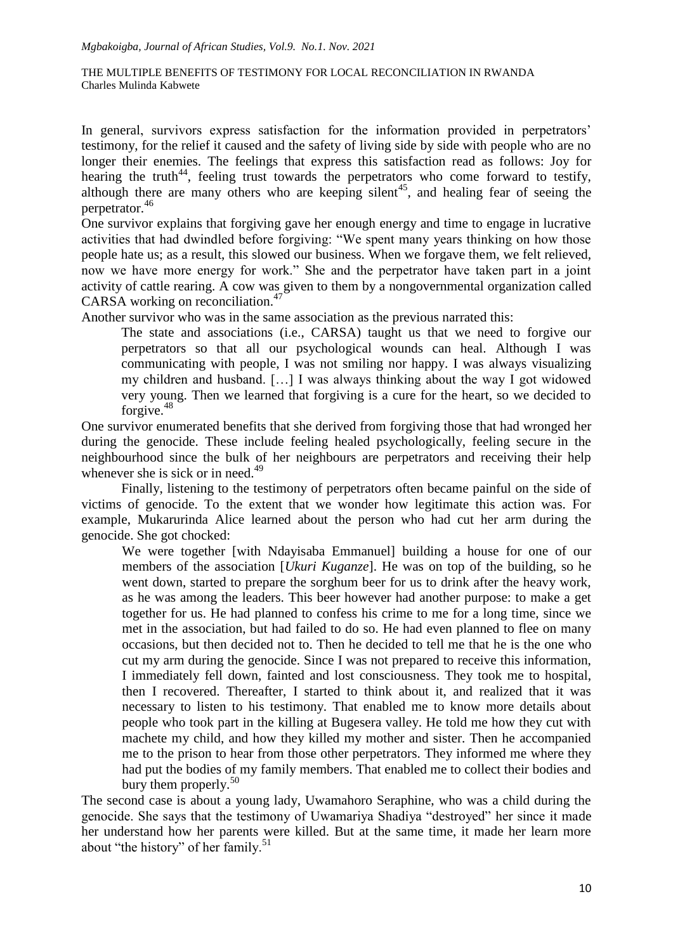In general, survivors express satisfaction for the information provided in perpetrators' testimony, for the relief it caused and the safety of living side by side with people who are no longer their enemies. The feelings that express this satisfaction read as follows: Joy for hearing the truth<sup>44</sup>, feeling trust towards the perpetrators who come forward to testify, although there are many others who are keeping silent<sup>45</sup>, and healing fear of seeing the perpetrator.<sup>46</sup>

One survivor explains that forgiving gave her enough energy and time to engage in lucrative activities that had dwindled before forgiving: "We spent many years thinking on how those people hate us; as a result, this slowed our business. When we forgave them, we felt relieved, now we have more energy for work." She and the perpetrator have taken part in a joint activity of cattle rearing. A cow was given to them by a nongovernmental organization called CARSA working on reconciliation.<sup>47</sup>

Another survivor who was in the same association as the previous narrated this:

The state and associations (i.e., CARSA) taught us that we need to forgive our perpetrators so that all our psychological wounds can heal. Although I was communicating with people, I was not smiling nor happy. I was always visualizing my children and husband. […] I was always thinking about the way I got widowed very young. Then we learned that forgiving is a cure for the heart, so we decided to forgive. $48$ 

One survivor enumerated benefits that she derived from forgiving those that had wronged her during the genocide. These include feeling healed psychologically, feeling secure in the neighbourhood since the bulk of her neighbours are perpetrators and receiving their help whenever she is sick or in need.<sup>49</sup>

Finally, listening to the testimony of perpetrators often became painful on the side of victims of genocide. To the extent that we wonder how legitimate this action was. For example, Mukarurinda Alice learned about the person who had cut her arm during the genocide. She got chocked:

We were together [with Ndayisaba Emmanuel] building a house for one of our members of the association [*Ukuri Kuganze*]. He was on top of the building, so he went down, started to prepare the sorghum beer for us to drink after the heavy work, as he was among the leaders. This beer however had another purpose: to make a get together for us. He had planned to confess his crime to me for a long time, since we met in the association, but had failed to do so. He had even planned to flee on many occasions, but then decided not to. Then he decided to tell me that he is the one who cut my arm during the genocide. Since I was not prepared to receive this information, I immediately fell down, fainted and lost consciousness. They took me to hospital, then I recovered. Thereafter, I started to think about it, and realized that it was necessary to listen to his testimony. That enabled me to know more details about people who took part in the killing at Bugesera valley. He told me how they cut with machete my child, and how they killed my mother and sister. Then he accompanied me to the prison to hear from those other perpetrators. They informed me where they had put the bodies of my family members. That enabled me to collect their bodies and bury them properly. $50$ 

The second case is about a young lady, Uwamahoro Seraphine, who was a child during the genocide. She says that the testimony of Uwamariya Shadiya "destroyed" her since it made her understand how her parents were killed. But at the same time, it made her learn more about "the history" of her family.<sup>51</sup>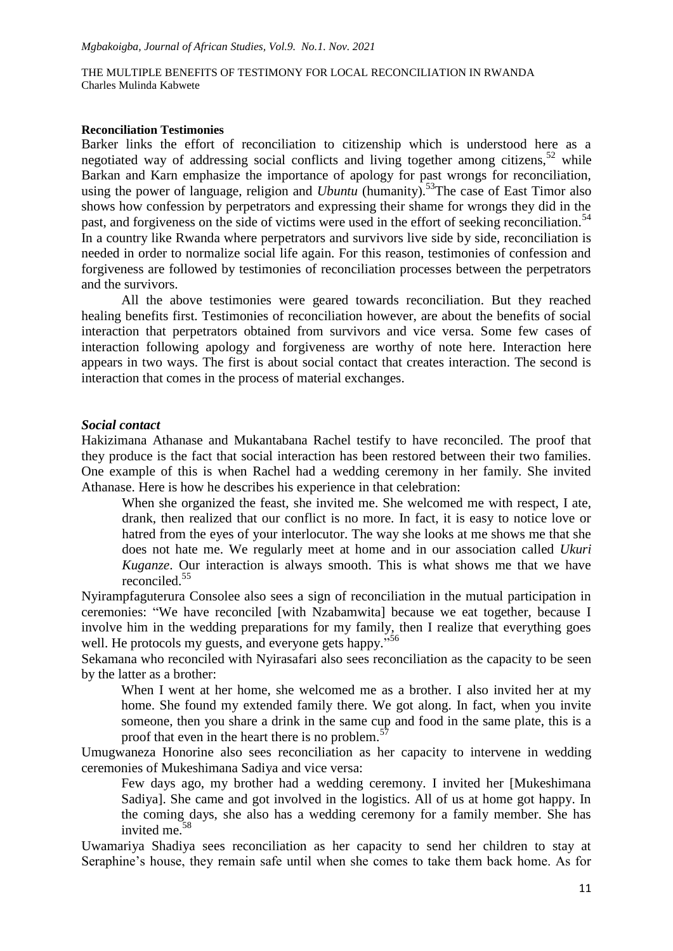#### **Reconciliation Testimonies**

Barker links the effort of reconciliation to citizenship which is understood here as a negotiated way of addressing social conflicts and living together among citizens,  $52$  while Barkan and Karn emphasize the importance of apology for past wrongs for reconciliation, using the power of language, religion and *Ubuntu* (humanity).<sup>53</sup>The case of East Timor also shows how confession by perpetrators and expressing their shame for wrongs they did in the past, and forgiveness on the side of victims were used in the effort of seeking reconciliation.<sup>54</sup> In a country like Rwanda where perpetrators and survivors live side by side, reconciliation is needed in order to normalize social life again. For this reason, testimonies of confession and forgiveness are followed by testimonies of reconciliation processes between the perpetrators and the survivors.

All the above testimonies were geared towards reconciliation. But they reached healing benefits first. Testimonies of reconciliation however, are about the benefits of social interaction that perpetrators obtained from survivors and vice versa. Some few cases of interaction following apology and forgiveness are worthy of note here. Interaction here appears in two ways. The first is about social contact that creates interaction. The second is interaction that comes in the process of material exchanges.

#### *Social contact*

Hakizimana Athanase and Mukantabana Rachel testify to have reconciled. The proof that they produce is the fact that social interaction has been restored between their two families. One example of this is when Rachel had a wedding ceremony in her family. She invited Athanase. Here is how he describes his experience in that celebration:

When she organized the feast, she invited me. She welcomed me with respect, I ate, drank, then realized that our conflict is no more. In fact, it is easy to notice love or hatred from the eyes of your interlocutor. The way she looks at me shows me that she does not hate me. We regularly meet at home and in our association called *Ukuri Kuganze*. Our interaction is always smooth. This is what shows me that we have reconciled.<sup>55</sup>

Nyirampfaguterura Consolee also sees a sign of reconciliation in the mutual participation in ceremonies: "We have reconciled [with Nzabamwita] because we eat together, because I involve him in the wedding preparations for my family, then I realize that everything goes well. He protocols my guests, and everyone gets happy."<sup>56</sup>

Sekamana who reconciled with Nyirasafari also sees reconciliation as the capacity to be seen by the latter as a brother:

When I went at her home, she welcomed me as a brother. I also invited her at my home. She found my extended family there. We got along. In fact, when you invite someone, then you share a drink in the same cup and food in the same plate, this is a proof that even in the heart there is no problem.<sup>5</sup>

Umugwaneza Honorine also sees reconciliation as her capacity to intervene in wedding ceremonies of Mukeshimana Sadiya and vice versa:

Few days ago, my brother had a wedding ceremony. I invited her [Mukeshimana Sadiya]. She came and got involved in the logistics. All of us at home got happy. In the coming days, she also has a wedding ceremony for a family member. She has invited me.<sup>58</sup>

Uwamariya Shadiya sees reconciliation as her capacity to send her children to stay at Seraphine's house, they remain safe until when she comes to take them back home. As for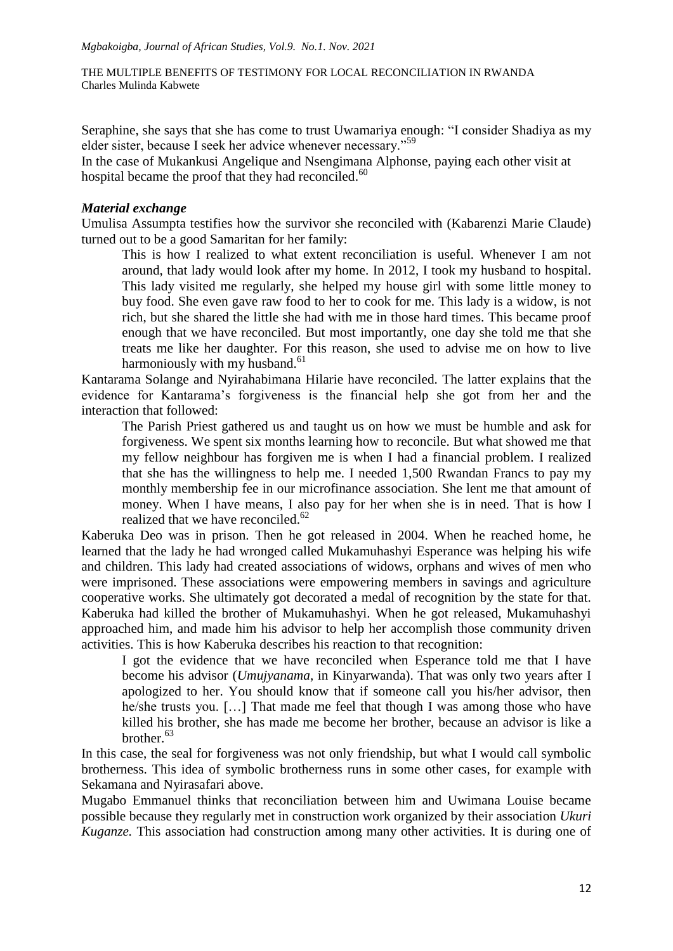Seraphine, she says that she has come to trust Uwamariya enough: "I consider Shadiya as my elder sister, because I seek her advice whenever necessary."<sup>59</sup>

In the case of Mukankusi Angelique and Nsengimana Alphonse, paying each other visit at hospital became the proof that they had reconciled.<sup>60</sup>

## *Material exchange*

Umulisa Assumpta testifies how the survivor she reconciled with (Kabarenzi Marie Claude) turned out to be a good Samaritan for her family:

This is how I realized to what extent reconciliation is useful. Whenever I am not around, that lady would look after my home. In 2012, I took my husband to hospital. This lady visited me regularly, she helped my house girl with some little money to buy food. She even gave raw food to her to cook for me. This lady is a widow, is not rich, but she shared the little she had with me in those hard times. This became proof enough that we have reconciled. But most importantly, one day she told me that she treats me like her daughter. For this reason, she used to advise me on how to live harmoniously with my husband. $61$ 

Kantarama Solange and Nyirahabimana Hilarie have reconciled. The latter explains that the evidence for Kantarama"s forgiveness is the financial help she got from her and the interaction that followed:

The Parish Priest gathered us and taught us on how we must be humble and ask for forgiveness. We spent six months learning how to reconcile. But what showed me that my fellow neighbour has forgiven me is when I had a financial problem. I realized that she has the willingness to help me. I needed 1,500 Rwandan Francs to pay my monthly membership fee in our microfinance association. She lent me that amount of money. When I have means, I also pay for her when she is in need. That is how I realized that we have reconciled.<sup>62</sup>

Kaberuka Deo was in prison. Then he got released in 2004. When he reached home, he learned that the lady he had wronged called Mukamuhashyi Esperance was helping his wife and children. This lady had created associations of widows, orphans and wives of men who were imprisoned. These associations were empowering members in savings and agriculture cooperative works. She ultimately got decorated a medal of recognition by the state for that. Kaberuka had killed the brother of Mukamuhashyi. When he got released, Mukamuhashyi approached him, and made him his advisor to help her accomplish those community driven activities. This is how Kaberuka describes his reaction to that recognition:

I got the evidence that we have reconciled when Esperance told me that I have become his advisor (*Umujyanama*, in Kinyarwanda). That was only two years after I apologized to her. You should know that if someone call you his/her advisor, then he/she trusts you. […] That made me feel that though I was among those who have killed his brother, she has made me become her brother, because an advisor is like a brother.<sup>63</sup>

In this case, the seal for forgiveness was not only friendship, but what I would call symbolic brotherness. This idea of symbolic brotherness runs in some other cases, for example with Sekamana and Nyirasafari above.

Mugabo Emmanuel thinks that reconciliation between him and Uwimana Louise became possible because they regularly met in construction work organized by their association *Ukuri Kuganze.* This association had construction among many other activities. It is during one of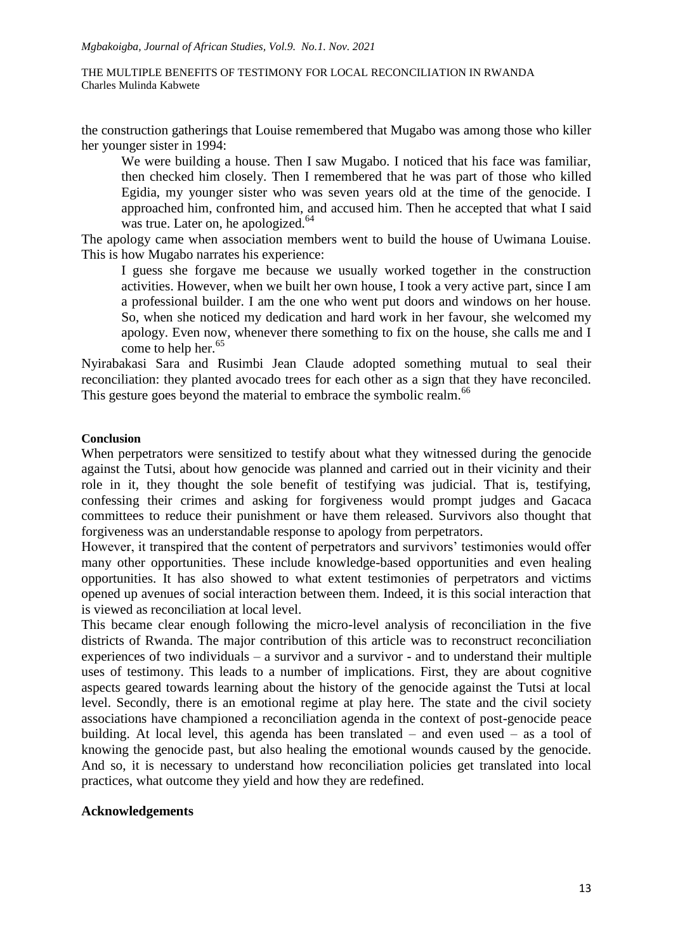the construction gatherings that Louise remembered that Mugabo was among those who killer her younger sister in 1994:

We were building a house. Then I saw Mugabo. I noticed that his face was familiar, then checked him closely. Then I remembered that he was part of those who killed Egidia, my younger sister who was seven years old at the time of the genocide. I approached him, confronted him, and accused him. Then he accepted that what I said was true. Later on, he apologized.<sup>64</sup>

The apology came when association members went to build the house of Uwimana Louise. This is how Mugabo narrates his experience:

I guess she forgave me because we usually worked together in the construction activities. However, when we built her own house, I took a very active part, since I am a professional builder. I am the one who went put doors and windows on her house. So, when she noticed my dedication and hard work in her favour, she welcomed my apology. Even now, whenever there something to fix on the house, she calls me and I come to help her.<sup>65</sup>

Nyirabakasi Sara and Rusimbi Jean Claude adopted something mutual to seal their reconciliation: they planted avocado trees for each other as a sign that they have reconciled. This gesture goes beyond the material to embrace the symbolic realm.<sup>66</sup>

### **Conclusion**

When perpetrators were sensitized to testify about what they witnessed during the genocide against the Tutsi, about how genocide was planned and carried out in their vicinity and their role in it, they thought the sole benefit of testifying was judicial. That is, testifying, confessing their crimes and asking for forgiveness would prompt judges and Gacaca committees to reduce their punishment or have them released. Survivors also thought that forgiveness was an understandable response to apology from perpetrators.

However, it transpired that the content of perpetrators and survivors' testimonies would offer many other opportunities. These include knowledge-based opportunities and even healing opportunities. It has also showed to what extent testimonies of perpetrators and victims opened up avenues of social interaction between them. Indeed, it is this social interaction that is viewed as reconciliation at local level.

This became clear enough following the micro-level analysis of reconciliation in the five districts of Rwanda. The major contribution of this article was to reconstruct reconciliation experiences of two individuals – a survivor and a survivor - and to understand their multiple uses of testimony. This leads to a number of implications. First, they are about cognitive aspects geared towards learning about the history of the genocide against the Tutsi at local level. Secondly, there is an emotional regime at play here. The state and the civil society associations have championed a reconciliation agenda in the context of post-genocide peace building. At local level, this agenda has been translated – and even used – as a tool of knowing the genocide past, but also healing the emotional wounds caused by the genocide. And so, it is necessary to understand how reconciliation policies get translated into local practices, what outcome they yield and how they are redefined.

## **Acknowledgements**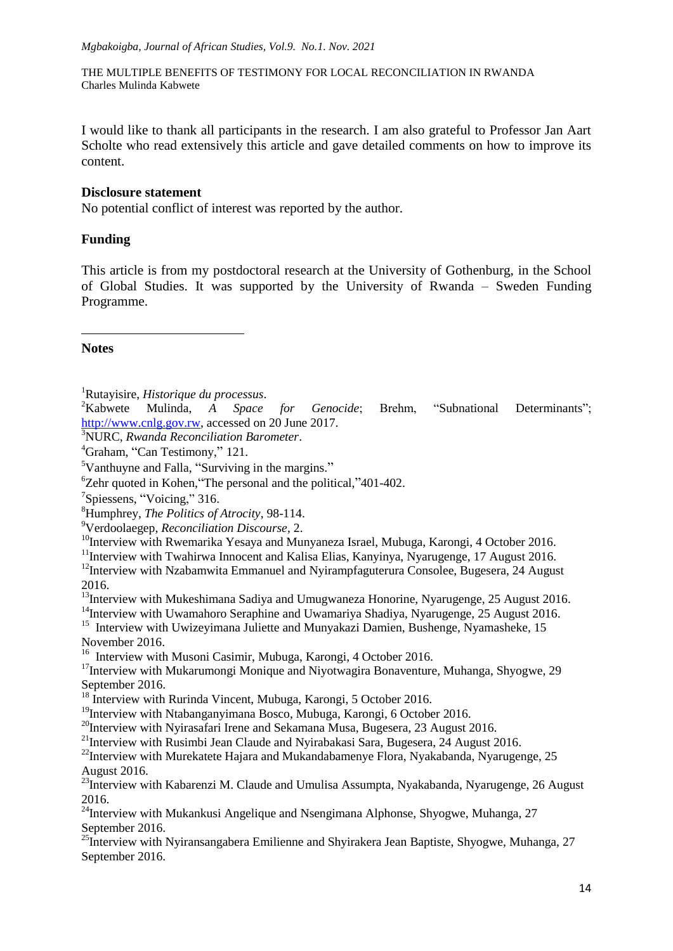I would like to thank all participants in the research. I am also grateful to Professor Jan Aart Scholte who read extensively this article and gave detailed comments on how to improve its content.

## **Disclosure statement**

No potential conflict of interest was reported by the author.

## **Funding**

This article is from my postdoctoral research at the University of Gothenburg, in the School of Global Studies. It was supported by the University of Rwanda – Sweden Funding Programme.

## **Notes**

**.** 

<sup>1</sup>Rutayisire, *Historique du processus*.

Mulinda, *A Space for Genocide*; Brehm, "Subnational Determinants"; [http://www.cnlg.gov.rw,](http://www.cnlg.gov.rw/) accessed on 20 June 2017.

<sup>3</sup>NURC, *Rwanda Reconciliation Barometer*.

<sup>5</sup>Vanthuyne and Falla, "Surviving in the margins."

<sup>6</sup>Zehr quoted in Kohen,"The personal and the political,"401-402.

<sup>7</sup>Spiessens, "Voicing," 316.

<sup>8</sup>Humphrey, *The Politics of Atrocity*, 98-114.

<sup>9</sup>Verdoolaegep, *Reconciliation Discourse*, 2.

<sup>10</sup>Interview with Rwemarika Yesaya and Munyaneza Israel, Mubuga, Karongi, 4 October 2016.

<sup>11</sup>Interview with Twahirwa Innocent and Kalisa Elias, Kanyinya, Nyarugenge, 17 August 2016.

 $12$ Interview with Nzabamwita Emmanuel and Nyirampfaguterura Consolee, Bugesera, 24 August 2016.

<sup>13</sup>Interview with Mukeshimana Sadiya and Umugwaneza Honorine, Nyarugenge, 25 August 2016.

<sup>14</sup>Interview with Uwamahoro Seraphine and Uwamariya Shadiya, Nyarugenge, 25 August 2016.

<sup>15</sup> Interview with Uwizeyimana Juliette and Munyakazi Damien, Bushenge, Nyamasheke, 15 November 2016.

<sup>16</sup> Interview with Musoni Casimir, Mubuga, Karongi, 4 October 2016.

 $17$ Interview with Mukarumongi Monique and Niyotwagira Bonaventure, Muhanga, Shyogwe, 29 September 2016.

<sup>18</sup> Interview with Rurinda Vincent, Mubuga, Karongi, 5 October 2016.

<sup>19</sup>Interview with Ntabanganyimana Bosco, Mubuga, Karongi, 6 October 2016.

<sup>20</sup>Interview with Nyirasafari Irene and Sekamana Musa, Bugesera, 23 August 2016.

<sup>21</sup>Interview with Rusimbi Jean Claude and Nyirabakasi Sara, Bugesera,  $2\overline{4}$  August 2016.

 $^{22}$ Interview with Murekatete Hajara and Mukandabamenye Flora, Nyakabanda, Nyarugenge, 25 August 2016.

<sup>23</sup>Interview with Kabarenzi M. Claude and Umulisa Assumpta, Nyakabanda, Nyarugenge, 26 August 2016.

<sup>24</sup>Interview with Mukankusi Angelique and Nsengimana Alphonse, Shyogwe, Muhanga, 27 September 2016.

<sup>25</sup>Interview with Nyiransangabera Emilienne and Shyirakera Jean Baptiste, Shyogwe, Muhanga, 27 September 2016.

<sup>4</sup>Graham, "Can Testimony," 121.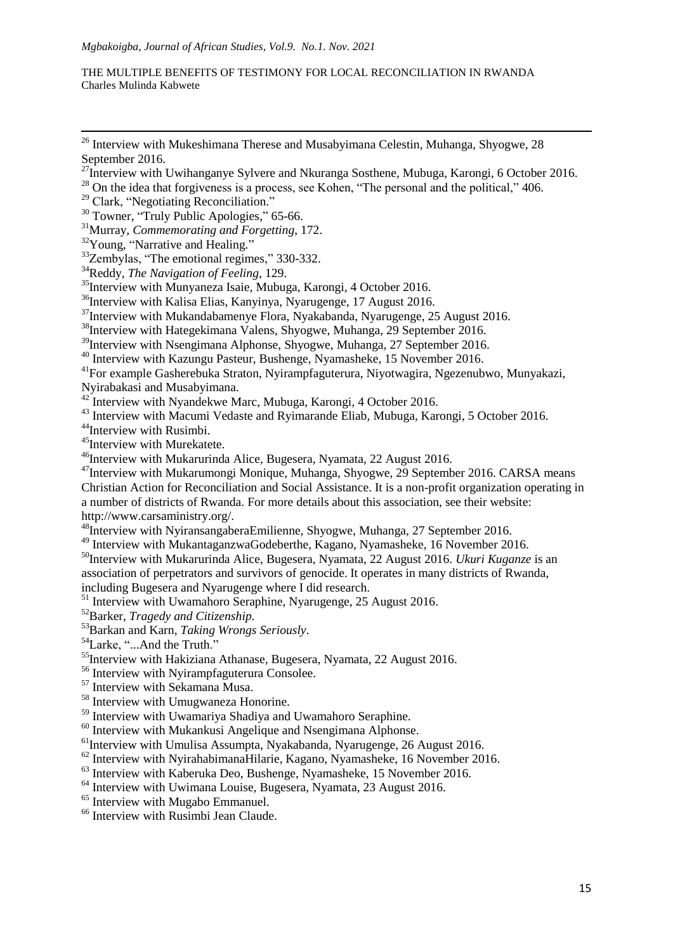<sup>32</sup>Young, "Narrative and Healing."

**.** 

<sup>33</sup>Zembylas, "The emotional regimes," 330-332.

<sup>34</sup>Reddy, *The Navigation of Feeling,* 129.

<sup>35</sup>Interview with Munyaneza Isaie, Mubuga, Karongi, 4 October 2016.

<sup>36</sup>Interview with Kalisa Elias, Kanyinya, Nyarugenge, 17 August 2016.

<sup>37</sup>Interview with Mukandabamenye Flora, Nyakabanda, Nyarugenge, 25 August 2016.

<sup>38</sup>Interview with Hategekimana Valens, Shyogwe, Muhanga, 29 September 2016.

<sup>39</sup>Interview with Nsengimana Alphonse, Shyogwe, Muhanga, 27 September 2016.

<sup>40</sup> Interview with Kazungu Pasteur, Bushenge, Nyamasheke, 15 November 2016.

<sup>41</sup>For example Gasherebuka Straton, Nyirampfaguterura, Niyotwagira, Ngezenubwo, Munyakazi, Nyirabakasi and Musabyimana.

 $42$  Interview with Nyandekwe Marc, Mubuga, Karongi, 4 October 2016.

<sup>43</sup> Interview with Macumi Vedaste and Ryimarande Eliab, Mubuga, Karongi, 5 October 2016.

<sup>44</sup>Interview with Rusimbi.

<sup>45</sup>Interview with Murekatete.

<sup>46</sup>Interview with Mukarurinda Alice, Bugesera, Nyamata, 22 August 2016.

<sup>47</sup>Interview with Mukarumongi Monique, Muhanga, Shyogwe, 29 September 2016. CARSA means Christian Action for Reconciliation and Social Assistance. It is a non-profit organization operating in a number of districts of Rwanda. For more details about this association, see their website: http://www.carsaministry.org/.

<sup>48</sup>Interview with NyiransangaberaEmilienne, Shyogwe, Muhanga, 27 September 2016.

49 Interview with MukantaganzwaGodeberthe, Kagano, Nyamasheke, 16 November 2016.

<sup>50</sup>Interview with Mukarurinda Alice, Bugesera, Nyamata, 22 August 2016. *Ukuri Kuganze* is an association of perpetrators and survivors of genocide. It operates in many districts of Rwanda,

including Bugesera and Nyarugenge where I did research.

<sup>51</sup> Interview with Uwamahoro Seraphine, Nyarugenge, 25 August 2016.

<sup>52</sup>Barker, *Tragedy and Citizenship.*

<sup>53</sup>Barkan and Karn, *Taking Wrongs Seriously*.

<sup>54</sup>Larke, "...And the Truth."

<sup>55</sup>Interview with Hakiziana Athanase, Bugesera, Nyamata, 22 August 2016.

<sup>56</sup> Interview with Nyirampfaguterura Consolee.

<sup>57</sup> Interview with Sekamana Musa.

<sup>58</sup> Interview with Umugwaneza Honorine.

<sup>59</sup> Interview with Uwamariya Shadiya and Uwamahoro Seraphine.

<sup>60</sup> Interview with Mukankusi Angelique and Nsengimana Alphonse.

 $<sup>61</sup>$ Interview with Umulisa Assumpta, Nyakabanda, Nyarugenge, 26 August 2016.</sup>

 $62$  Interview with NyirahabimanaHilarie, Kagano, Nyamasheke, 16 November 2016.

<sup>63</sup> Interview with Kaberuka Deo, Bushenge, Nyamasheke, 15 November 2016.

<sup>64</sup> Interview with Uwimana Louise, Bugesera, Nyamata, 23 August 2016.

<sup>65</sup> Interview with Mugabo Emmanuel.

<sup>66</sup> Interview with Rusimbi Jean Claude.

 $26$  Interview with Mukeshimana Therese and Musabyimana Celestin, Muhanga, Shyogwe, 28 September 2016.

<sup>&</sup>lt;sup>27</sup>Interview with Uwihanganye Sylvere and Nkuranga Sosthene, Mubuga, Karongi, 6 October 2016.

 $^{28}$  On the idea that forgiveness is a process, see Kohen, "The personal and the political," 406.

<sup>&</sup>lt;sup>29</sup> Clark, "Negotiating Reconciliation."

<sup>&</sup>lt;sup>30</sup> Towner, "Truly Public Apologies," 65-66.

<sup>31</sup>Murray, *Commemorating and Forgetting*, 172.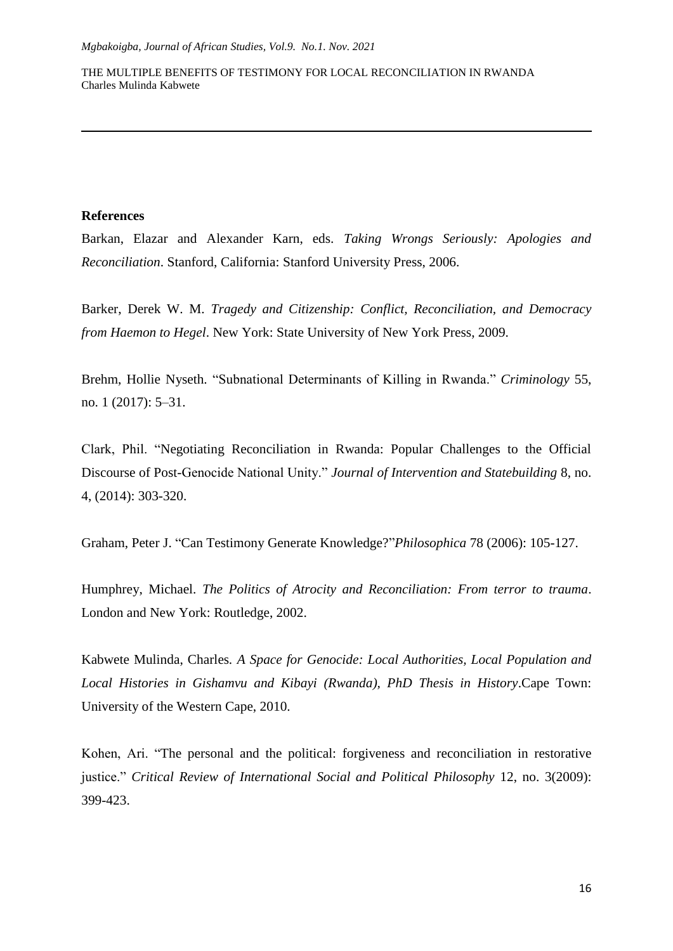# **References**

**.** 

Barkan, Elazar and Alexander Karn, eds. *Taking Wrongs Seriously: Apologies and Reconciliation*. Stanford, California: Stanford University Press, 2006.

Barker, Derek W. M. *Tragedy and Citizenship: Conflict, Reconciliation, and Democracy from Haemon to Hegel*. New York: State University of New York Press, 2009.

Brehm, Hollie Nyseth. "Subnational Determinants of Killing in Rwanda." *Criminology* 55, no. 1 (2017): 5–31.

Clark, Phil. "Negotiating Reconciliation in Rwanda: Popular Challenges to the Official Discourse of Post-Genocide National Unity." *Journal of Intervention and Statebuilding* 8, no. 4, (2014): 303-320.

Graham, Peter J. "Can Testimony Generate Knowledge?"*Philosophica* 78 (2006): 105-127.

Humphrey, Michael. *The Politics of Atrocity and Reconciliation: From terror to trauma*. London and New York: Routledge, 2002.

Kabwete Mulinda, Charles*. A Space for Genocide: Local Authorities, Local Population and*  Local Histories in Gishamvu and Kibayi (Rwanda), PhD Thesis in History.Cape Town: University of the Western Cape, 2010.

Kohen, Ari. "The personal and the political: forgiveness and reconciliation in restorative justice." *Critical Review of International Social and Political Philosophy* 12, no. 3(2009): 399-423.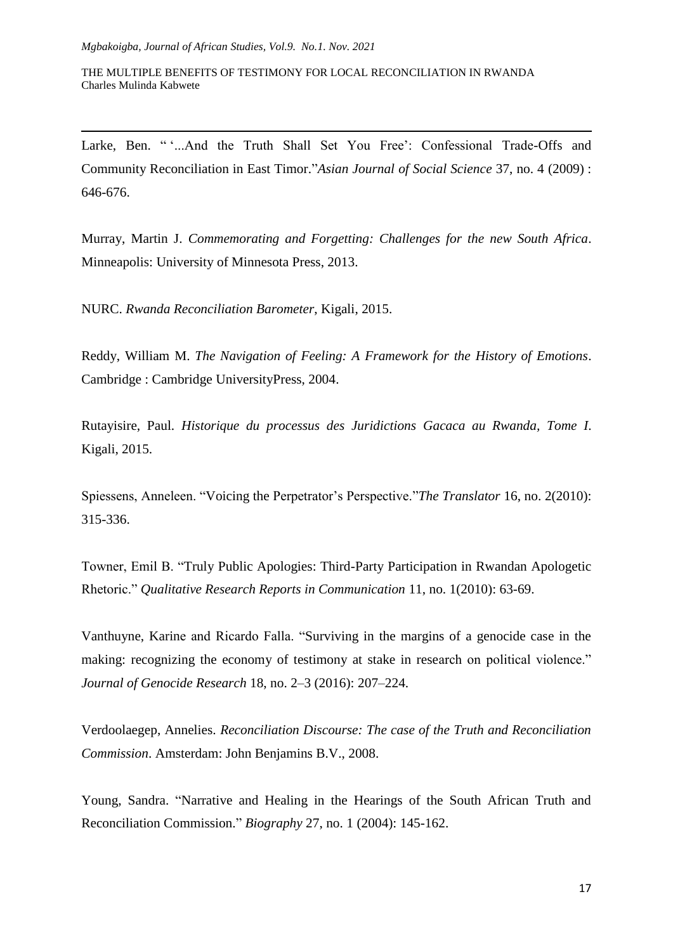**.** 

THE MULTIPLE BENEFITS OF TESTIMONY FOR LOCAL RECONCILIATION IN RWANDA Charles Mulinda Kabwete

Larke, Ben. ""...And the Truth Shall Set You Free": Confessional Trade-Offs and Community Reconciliation in East Timor."*Asian Journal of Social Science* 37, no. 4 (2009) : 646-676.

Murray, Martin J. *Commemorating and Forgetting: Challenges for the new South Africa*. Minneapolis: University of Minnesota Press, 2013.

NURC. *Rwanda Reconciliation Barometer*, Kigali, 2015.

Reddy, William M. *The Navigation of Feeling: A Framework for the History of Emotions*. Cambridge : Cambridge UniversityPress, 2004.

Rutayisire, Paul. *Historique du processus des Juridictions Gacaca au Rwanda, Tome I*. Kigali, 2015.

Spiessens, Anneleen. "Voicing the Perpetrator's Perspective."*The Translator* 16, no. 2(2010): 315-336.

Towner, Emil B. "Truly Public Apologies: Third-Party Participation in Rwandan Apologetic Rhetoric." *Qualitative Research Reports in Communication* 11, no. 1(2010): 63-69.

Vanthuyne, Karine and Ricardo Falla. "Surviving in the margins of a genocide case in the making: recognizing the economy of testimony at stake in research on political violence." *Journal of Genocide Research* 18, no. 2–3 (2016): 207–224.

Verdoolaegep, Annelies. *Reconciliation Discourse: The case of the Truth and Reconciliation Commission*. Amsterdam: John Benjamins B.V., 2008.

Young, Sandra. "Narrative and Healing in the Hearings of the South African Truth and Reconciliation Commission." *Biography* 27, no. 1 (2004): 145-162.